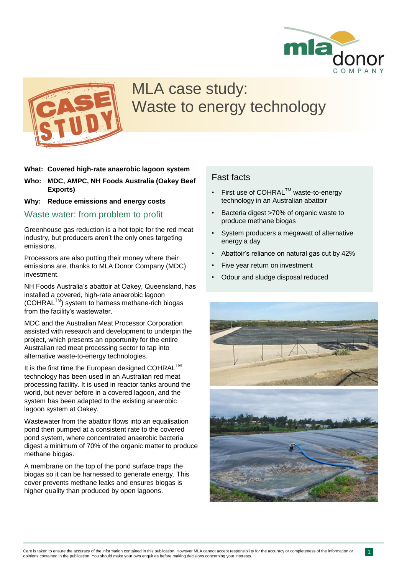



## MLA case study: Waste to energy technology

- **What: Covered high-rate anaerobic lagoon system**
- **Who: MDC, AMPC, NH Foods Australia (Oakey Beef Exports)**
- **Why: Reduce emissions and energy costs**

Waste water: from problem to profit

Greenhouse gas reduction is a hot topic for the red meat industry, but producers aren't the only ones targeting emissions.

Processors are also putting their money where their emissions are, thanks to MLA Donor Company (MDC) investment.

NH Foods Australia's abattoir at Oakey, Queensland, has installed a covered, high-rate anaerobic lagoon (COHRALTM) system to harness methane-rich biogas from the facility's wastewater.

MDC and the Australian Meat Processor Corporation assisted with research and development to underpin the project, which presents an opportunity for the entire Australian red meat processing sector to tap into alternative waste-to-energy technologies.

It is the first time the European designed COHRAL™ technology has been used in an Australian red meat processing facility. It is used in reactor tanks around the world, but never before in a covered lagoon, and the system has been adapted to the existing anaerobic lagoon system at Oakey.

Wastewater from the abattoir flows into an equalisation pond then pumped at a consistent rate to the covered pond system, where concentrated anaerobic bacteria digest a minimum of 70% of the organic matter to produce methane biogas.

A membrane on the top of the pond surface traps the biogas so it can be harnessed to generate energy. This cover prevents methane leaks and ensures biogas is higher quality than produced by open lagoons.

### Fast facts

- First use of COHRAL™ waste-to-energy technology in an Australian abattoir
- Bacteria digest >70% of organic waste to produce methane biogas
- System producers a megawatt of alternative energy a day
- Abattoir's reliance on natural gas cut by 42%
- Five year return on investment
- Odour and sludge disposal reduced